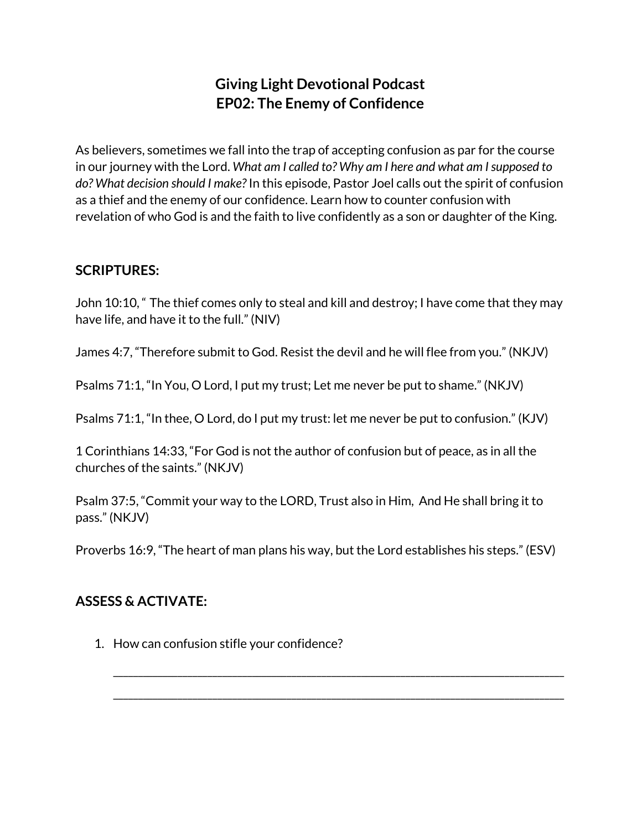## **Giving Light Devotional Podcast EP02: The Enemy of Confidence**

As believers, sometimes we fall into the trap of accepting confusion as par for the course in our journey with the Lord. *What am I called to? Why am I here and what am Isupposed to do? What decision should I make?* In this episode, Pastor Joel calls out the spirit of confusion as a thief and the enemy of our confidence. Learn how to counter confusion with revelation of who God is and the faith to live confidently as a son or daughter of the King.

## **SCRIPTURES:**

John 10:10, " The thief comes only to steal and kill and destroy; I have come that they may have life, and have it to the full." (NIV)

James 4:7, "Therefore submit to God. Resist the devil and he will flee from you." (NKJV)

Psalms 71:1, "In You, O Lord, I put my trust; Let me never be put to shame." (NKJV)

Psalms 71:1, "In thee, O Lord, do I put my trust: let me never be put to confusion." (KJV)

1 Corinthians 14:33, "For God is not the author of confusion but of peace, as in all the churches of the saints." (NKJV)

Psalm 37:5, "Commit your way to the LORD, Trust also in Him, And He shall bring it to pass." (NKJV)

Proverbs 16:9, "The heart of man plans his way, but the Lord establishes his steps." (ESV)

\_\_\_\_\_\_\_\_\_\_\_\_\_\_\_\_\_\_\_\_\_\_\_\_\_\_\_\_\_\_\_\_\_\_\_\_\_\_\_\_\_\_\_\_\_\_\_\_\_\_\_\_\_\_\_\_\_\_\_\_\_\_\_\_\_\_\_\_\_\_\_\_\_\_\_\_\_\_\_\_\_\_\_\_\_\_\_\_\_\_\_

\_\_\_\_\_\_\_\_\_\_\_\_\_\_\_\_\_\_\_\_\_\_\_\_\_\_\_\_\_\_\_\_\_\_\_\_\_\_\_\_\_\_\_\_\_\_\_\_\_\_\_\_\_\_\_\_\_\_\_\_\_\_\_\_\_\_\_\_\_\_\_\_\_\_\_\_\_\_\_\_\_\_\_\_\_\_\_\_\_\_\_

## **ASSESS & ACTIVATE:**

1. How can confusion stifle your confidence?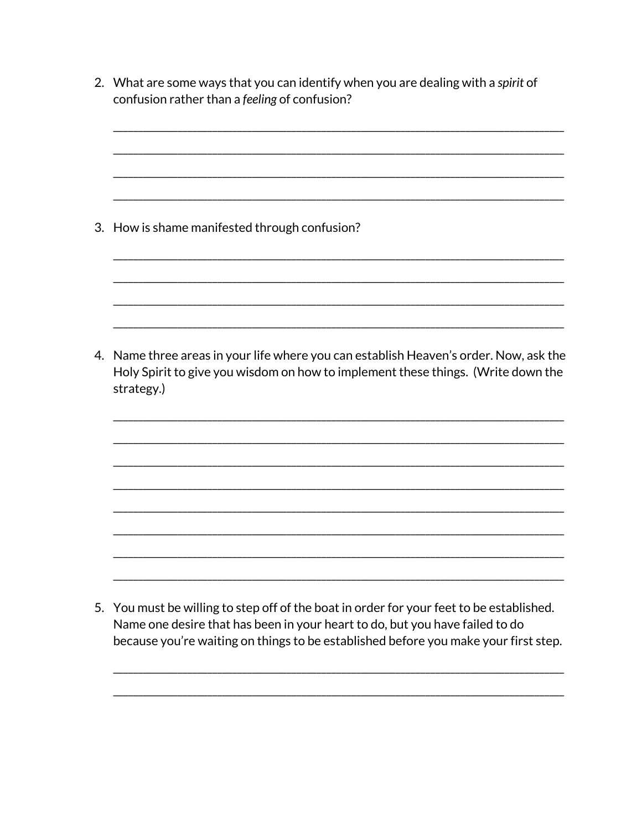2. What are some ways that you can identify when you are dealing with a spirit of confusion rather than a feeling of confusion?

3. How is shame manifested through confusion?

4. Name three areas in your life where you can establish Heaven's order. Now, ask the Holy Spirit to give you wisdom on how to implement these things. (Write down the strategy.)

5. You must be willing to step off of the boat in order for your feet to be established. Name one desire that has been in your heart to do, but you have failed to do because you're waiting on things to be established before you make your first step.